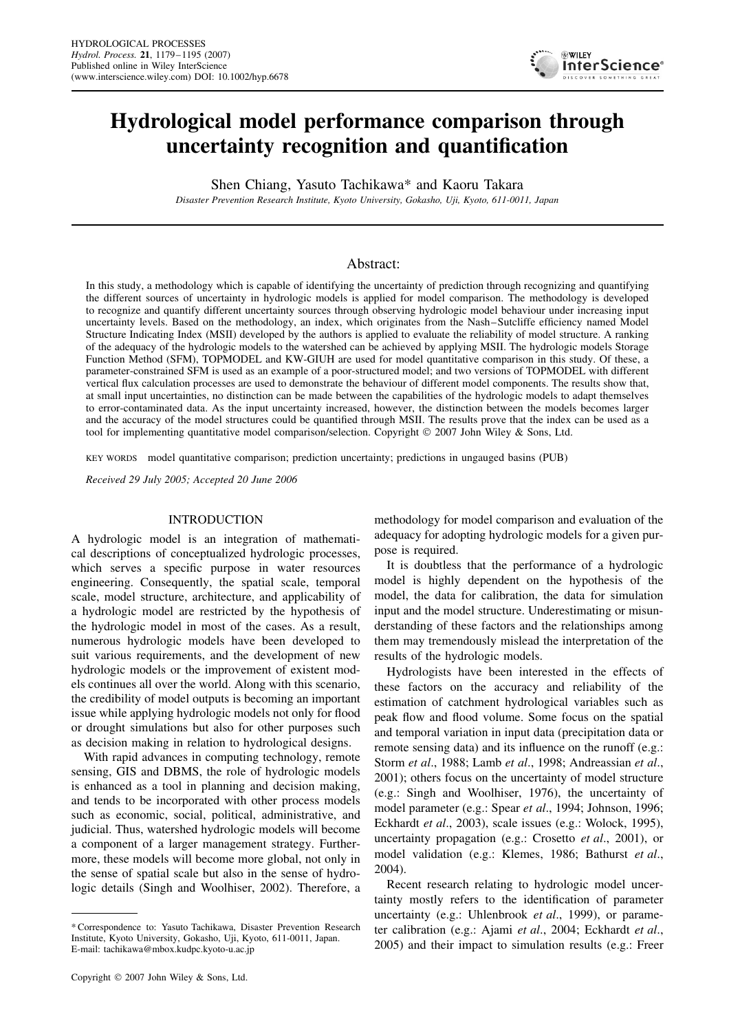# **Hydrological model performance comparison through uncertainty recognition and quantification**

Shen Chiang, Yasuto Tachikawa\* and Kaoru Takara

*Disaster Prevention Research Institute, Kyoto University, Gokasho, Uji, Kyoto, 611-0011, Japan*

# Abstract:

In this study, a methodology which is capable of identifying the uncertainty of prediction through recognizing and quantifying the different sources of uncertainty in hydrologic models is applied for model comparison. The methodology is developed to recognize and quantify different uncertainty sources through observing hydrologic model behaviour under increasing input uncertainty levels. Based on the methodology, an index, which originates from the Nash–Sutcliffe efficiency named Model Structure Indicating Index (MSII) developed by the authors is applied to evaluate the reliability of model structure. A ranking of the adequacy of the hydrologic models to the watershed can be achieved by applying MSII. The hydrologic models Storage Function Method (SFM), TOPMODEL and KW-GIUH are used for model quantitative comparison in this study. Of these, a parameter-constrained SFM is used as an example of a poor-structured model; and two versions of TOPMODEL with different vertical flux calculation processes are used to demonstrate the behaviour of different model components. The results show that, at small input uncertainties, no distinction can be made between the capabilities of the hydrologic models to adapt themselves to error-contaminated data. As the input uncertainty increased, however, the distinction between the models becomes larger and the accuracy of the model structures could be quantified through MSII. The results prove that the index can be used as a tool for implementing quantitative model comparison/selection. Copyright © 2007 John Wiley & Sons, Ltd.

KEY WORDS model quantitative comparison; prediction uncertainty; predictions in ungauged basins (PUB)

*Received 29 July 2005; Accepted 20 June 2006*

# INTRODUCTION

A hydrologic model is an integration of mathematical descriptions of conceptualized hydrologic processes, which serves a specific purpose in water resources engineering. Consequently, the spatial scale, temporal scale, model structure, architecture, and applicability of a hydrologic model are restricted by the hypothesis of the hydrologic model in most of the cases. As a result, numerous hydrologic models have been developed to suit various requirements, and the development of new hydrologic models or the improvement of existent models continues all over the world. Along with this scenario, the credibility of model outputs is becoming an important issue while applying hydrologic models not only for flood or drought simulations but also for other purposes such as decision making in relation to hydrological designs.

With rapid advances in computing technology, remote sensing, GIS and DBMS, the role of hydrologic models is enhanced as a tool in planning and decision making, and tends to be incorporated with other process models such as economic, social, political, administrative, and judicial. Thus, watershed hydrologic models will become a component of a larger management strategy. Furthermore, these models will become more global, not only in the sense of spatial scale but also in the sense of hydrologic details (Singh and Woolhiser, 2002). Therefore, a methodology for model comparison and evaluation of the adequacy for adopting hydrologic models for a given purpose is required.

It is doubtless that the performance of a hydrologic model is highly dependent on the hypothesis of the model, the data for calibration, the data for simulation input and the model structure. Underestimating or misunderstanding of these factors and the relationships among them may tremendously mislead the interpretation of the results of the hydrologic models.

Hydrologists have been interested in the effects of these factors on the accuracy and reliability of the estimation of catchment hydrological variables such as peak flow and flood volume. Some focus on the spatial and temporal variation in input data (precipitation data or remote sensing data) and its influence on the runoff (e.g.: Storm *et al*., 1988; Lamb *et al*., 1998; Andreassian *et al*., 2001); others focus on the uncertainty of model structure (e.g.: Singh and Woolhiser, 1976), the uncertainty of model parameter (e.g.: Spear *et al*., 1994; Johnson, 1996; Eckhardt *et al*., 2003), scale issues (e.g.: Wolock, 1995), uncertainty propagation (e.g.: Crosetto *et al*., 2001), or model validation (e.g.: Klemes, 1986; Bathurst *et al*., 2004).

Recent research relating to hydrologic model uncertainty mostly refers to the identification of parameter uncertainty (e.g.: Uhlenbrook *et al*., 1999), or parameter calibration (e.g.: Ajami *et al*., 2004; Eckhardt *et al*., 2005) and their impact to simulation results (e.g.: Freer

<sup>\*</sup> Correspondence to: Yasuto Tachikawa, Disaster Prevention Research Institute, Kyoto University, Gokasho, Uji, Kyoto, 611-0011, Japan. E-mail: tachikawa@mbox.kudpc.kyoto-u.ac.jp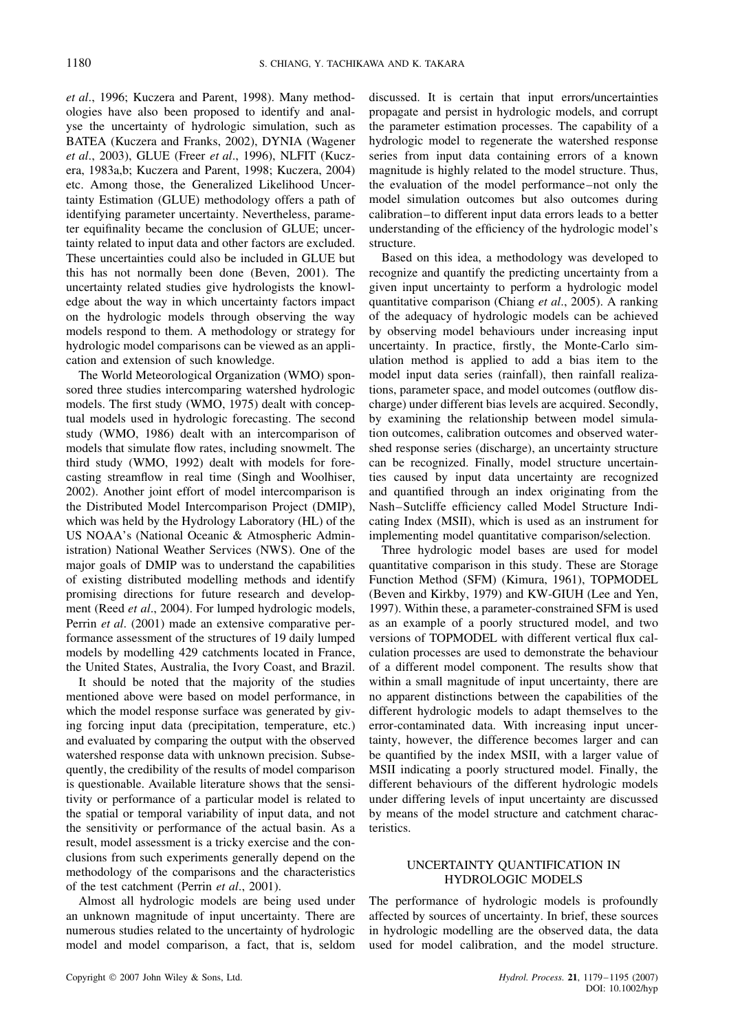*et al*., 1996; Kuczera and Parent, 1998). Many methodologies have also been proposed to identify and analyse the uncertainty of hydrologic simulation, such as BATEA (Kuczera and Franks, 2002), DYNIA (Wagener *et al*., 2003), GLUE (Freer *et al*., 1996), NLFIT (Kuczera, 1983a,b; Kuczera and Parent, 1998; Kuczera, 2004) etc. Among those, the Generalized Likelihood Uncertainty Estimation (GLUE) methodology offers a path of identifying parameter uncertainty. Nevertheless, parameter equifinality became the conclusion of GLUE; uncertainty related to input data and other factors are excluded. These uncertainties could also be included in GLUE but this has not normally been done (Beven, 2001). The uncertainty related studies give hydrologists the knowledge about the way in which uncertainty factors impact on the hydrologic models through observing the way models respond to them. A methodology or strategy for hydrologic model comparisons can be viewed as an application and extension of such knowledge.

The World Meteorological Organization (WMO) sponsored three studies intercomparing watershed hydrologic models. The first study (WMO, 1975) dealt with conceptual models used in hydrologic forecasting. The second study (WMO, 1986) dealt with an intercomparison of models that simulate flow rates, including snowmelt. The third study (WMO, 1992) dealt with models for forecasting streamflow in real time (Singh and Woolhiser, 2002). Another joint effort of model intercomparison is the Distributed Model Intercomparison Project (DMIP), which was held by the Hydrology Laboratory (HL) of the US NOAA's (National Oceanic & Atmospheric Administration) National Weather Services (NWS). One of the major goals of DMIP was to understand the capabilities of existing distributed modelling methods and identify promising directions for future research and development (Reed *et al*., 2004). For lumped hydrologic models, Perrin *et al*. (2001) made an extensive comparative performance assessment of the structures of 19 daily lumped models by modelling 429 catchments located in France, the United States, Australia, the Ivory Coast, and Brazil.

It should be noted that the majority of the studies mentioned above were based on model performance, in which the model response surface was generated by giving forcing input data (precipitation, temperature, etc.) and evaluated by comparing the output with the observed watershed response data with unknown precision. Subsequently, the credibility of the results of model comparison is questionable. Available literature shows that the sensitivity or performance of a particular model is related to the spatial or temporal variability of input data, and not the sensitivity or performance of the actual basin. As a result, model assessment is a tricky exercise and the conclusions from such experiments generally depend on the methodology of the comparisons and the characteristics of the test catchment (Perrin *et al*., 2001).

Almost all hydrologic models are being used under an unknown magnitude of input uncertainty. There are numerous studies related to the uncertainty of hydrologic model and model comparison, a fact, that is, seldom

discussed. It is certain that input errors/uncertainties propagate and persist in hydrologic models, and corrupt the parameter estimation processes. The capability of a hydrologic model to regenerate the watershed response series from input data containing errors of a known magnitude is highly related to the model structure. Thus, the evaluation of the model performance–not only the model simulation outcomes but also outcomes during calibration–to different input data errors leads to a better understanding of the efficiency of the hydrologic model's structure.

Based on this idea, a methodology was developed to recognize and quantify the predicting uncertainty from a given input uncertainty to perform a hydrologic model quantitative comparison (Chiang *et al*., 2005). A ranking of the adequacy of hydrologic models can be achieved by observing model behaviours under increasing input uncertainty. In practice, firstly, the Monte-Carlo simulation method is applied to add a bias item to the model input data series (rainfall), then rainfall realizations, parameter space, and model outcomes (outflow discharge) under different bias levels are acquired. Secondly, by examining the relationship between model simulation outcomes, calibration outcomes and observed watershed response series (discharge), an uncertainty structure can be recognized. Finally, model structure uncertainties caused by input data uncertainty are recognized and quantified through an index originating from the Nash–Sutcliffe efficiency called Model Structure Indicating Index (MSII), which is used as an instrument for implementing model quantitative comparison/selection.

Three hydrologic model bases are used for model quantitative comparison in this study. These are Storage Function Method (SFM) (Kimura, 1961), TOPMODEL (Beven and Kirkby, 1979) and KW-GIUH (Lee and Yen, 1997). Within these, a parameter-constrained SFM is used as an example of a poorly structured model, and two versions of TOPMODEL with different vertical flux calculation processes are used to demonstrate the behaviour of a different model component. The results show that within a small magnitude of input uncertainty, there are no apparent distinctions between the capabilities of the different hydrologic models to adapt themselves to the error-contaminated data. With increasing input uncertainty, however, the difference becomes larger and can be quantified by the index MSII, with a larger value of MSII indicating a poorly structured model. Finally, the different behaviours of the different hydrologic models under differing levels of input uncertainty are discussed by means of the model structure and catchment characteristics.

# UNCERTAINTY QUANTIFICATION IN HYDROLOGIC MODELS

The performance of hydrologic models is profoundly affected by sources of uncertainty. In brief, these sources in hydrologic modelling are the observed data, the data used for model calibration, and the model structure.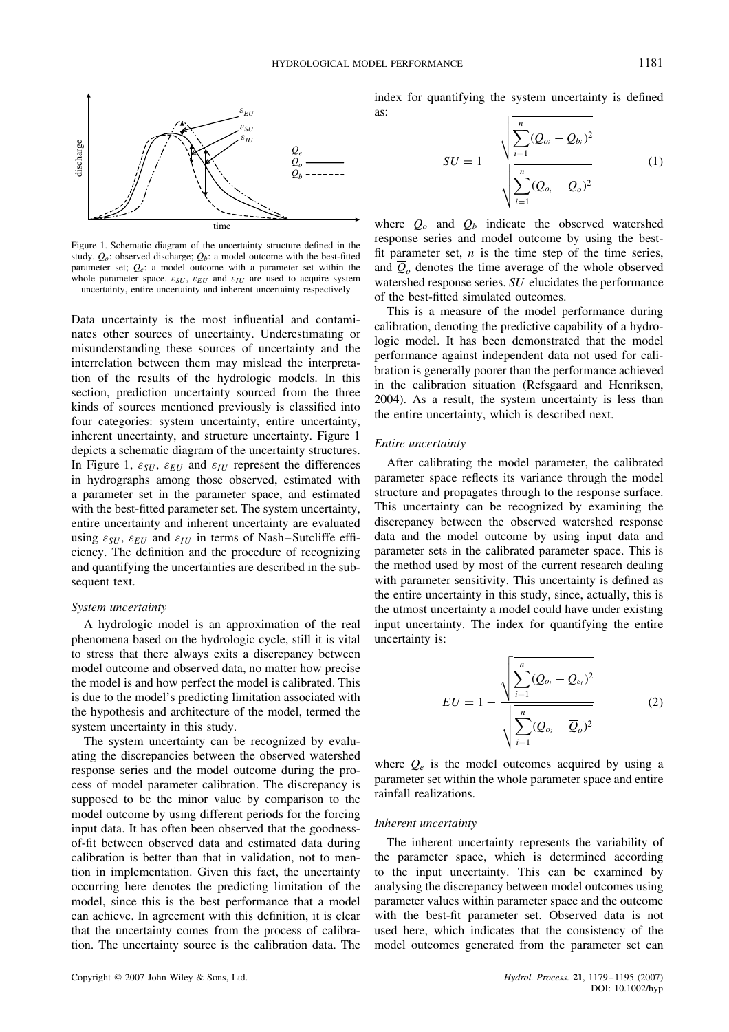

Figure 1. Schematic diagram of the uncertainty structure defined in the study.  $Q_o$ : observed discharge;  $Q_b$ : a model outcome with the best-fitted parameter set;  $Q_e$ : a model outcome with a parameter set within the whole parameter space.  $\varepsilon_{SUI}$ ,  $\varepsilon_{EUI}$  and  $\varepsilon_{III}$  are used to acquire system uncertainty, entire uncertainty and inherent uncertainty respectively

Data uncertainty is the most influential and contaminates other sources of uncertainty. Underestimating or misunderstanding these sources of uncertainty and the interrelation between them may mislead the interpretation of the results of the hydrologic models. In this section, prediction uncertainty sourced from the three kinds of sources mentioned previously is classified into four categories: system uncertainty, entire uncertainty, inherent uncertainty, and structure uncertainty. Figure 1 depicts a schematic diagram of the uncertainty structures. In Figure 1,  $\varepsilon_{SU}$ ,  $\varepsilon_{EU}$  and  $\varepsilon_{IU}$  represent the differences in hydrographs among those observed, estimated with a parameter set in the parameter space, and estimated with the best-fitted parameter set. The system uncertainty, entire uncertainty and inherent uncertainty are evaluated using  $\varepsilon_{SU}$ ,  $\varepsilon_{EU}$  and  $\varepsilon_{IU}$  in terms of Nash–Sutcliffe efficiency. The definition and the procedure of recognizing and quantifying the uncertainties are described in the subsequent text.

#### *System uncertainty*

A hydrologic model is an approximation of the real phenomena based on the hydrologic cycle, still it is vital to stress that there always exits a discrepancy between model outcome and observed data, no matter how precise the model is and how perfect the model is calibrated. This is due to the model's predicting limitation associated with the hypothesis and architecture of the model, termed the system uncertainty in this study.

The system uncertainty can be recognized by evaluating the discrepancies between the observed watershed response series and the model outcome during the process of model parameter calibration. The discrepancy is supposed to be the minor value by comparison to the model outcome by using different periods for the forcing input data. It has often been observed that the goodnessof-fit between observed data and estimated data during calibration is better than that in validation, not to mention in implementation. Given this fact, the uncertainty occurring here denotes the predicting limitation of the model, since this is the best performance that a model can achieve. In agreement with this definition, it is clear that the uncertainty comes from the process of calibration. The uncertainty source is the calibration data. The

index for quantifying the system uncertainty is defined as:

$$
SU = 1 - \frac{\sqrt{\sum_{i=1}^{n} (Q_{o_i} - Q_{b_i})^2}}{\sqrt{\sum_{i=1}^{n} (Q_{o_i} - \overline{Q}_{o})^2}}
$$
(1)

where  $Q_0$  and  $Q_b$  indicate the observed watershed response series and model outcome by using the bestfit parameter set,  $n$  is the time step of the time series, and  $\overline{Q}_o$  denotes the time average of the whole observed watershed response series. *SU* elucidates the performance of the best-fitted simulated outcomes.

This is a measure of the model performance during calibration, denoting the predictive capability of a hydrologic model. It has been demonstrated that the model performance against independent data not used for calibration is generally poorer than the performance achieved in the calibration situation (Refsgaard and Henriksen, 2004). As a result, the system uncertainty is less than the entire uncertainty, which is described next.

## *Entire uncertainty*

After calibrating the model parameter, the calibrated parameter space reflects its variance through the model structure and propagates through to the response surface. This uncertainty can be recognized by examining the discrepancy between the observed watershed response data and the model outcome by using input data and parameter sets in the calibrated parameter space. This is the method used by most of the current research dealing with parameter sensitivity. This uncertainty is defined as the entire uncertainty in this study, since, actually, this is the utmost uncertainty a model could have under existing input uncertainty. The index for quantifying the entire uncertainty is:

$$
EU = 1 - \frac{\sqrt{\sum_{i=1}^{n} (Q_{o_i} - Q_{e_i})^2}}{\sqrt{\sum_{i=1}^{n} (Q_{o_i} - \overline{Q}_{o})^2}}
$$
(2)

where  $Q_e$  is the model outcomes acquired by using a parameter set within the whole parameter space and entire rainfall realizations.

### *Inherent uncertainty*

The inherent uncertainty represents the variability of the parameter space, which is determined according to the input uncertainty. This can be examined by analysing the discrepancy between model outcomes using parameter values within parameter space and the outcome with the best-fit parameter set. Observed data is not used here, which indicates that the consistency of the model outcomes generated from the parameter set can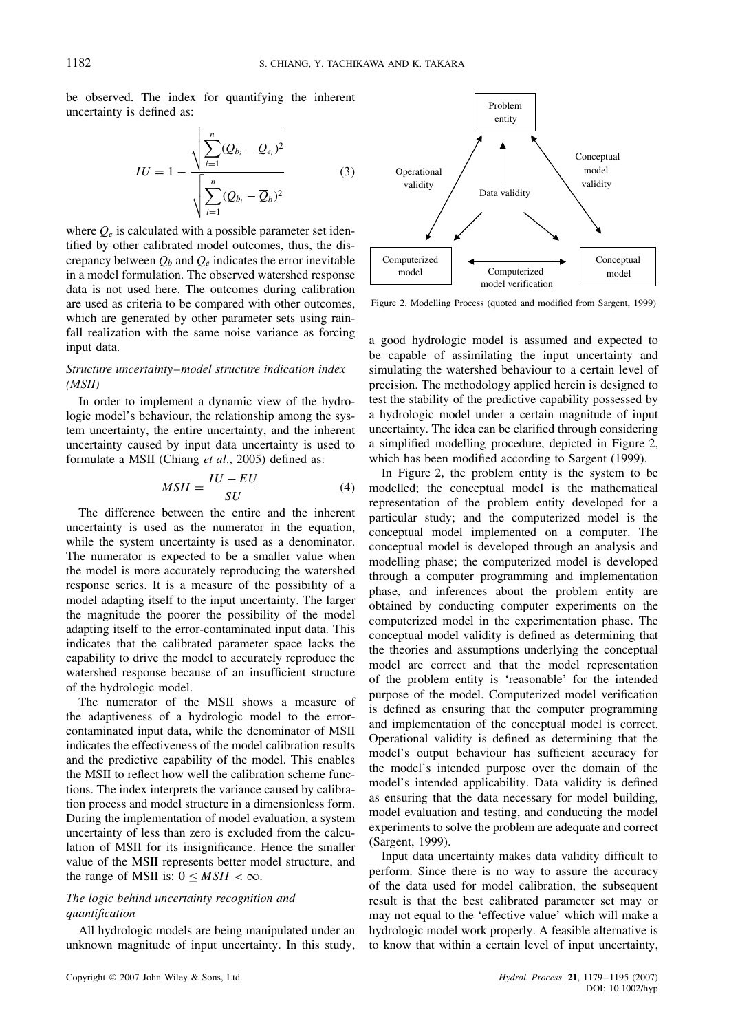be observed. The index for quantifying the inherent uncertainty is defined as:

$$
IU = 1 - \frac{\sqrt{\sum_{i=1}^{n} (Q_{b_i} - Q_{e_i})^2}}{\sqrt{\sum_{i=1}^{n} (Q_{b_i} - \overline{Q}_b)^2}}
$$
(3)

where  $Q_e$  is calculated with a possible parameter set identified by other calibrated model outcomes, thus, the discrepancy between  $Q_b$  and  $Q_e$  indicates the error inevitable in a model formulation. The observed watershed response data is not used here. The outcomes during calibration are used as criteria to be compared with other outcomes, which are generated by other parameter sets using rainfall realization with the same noise variance as forcing input data.

# *Structure uncertainty–model structure indication index (MSII)*

In order to implement a dynamic view of the hydrologic model's behaviour, the relationship among the system uncertainty, the entire uncertainty, and the inherent uncertainty caused by input data uncertainty is used to formulate a MSII (Chiang *et al*., 2005) defined as:

$$
MSII = \frac{IU - EU}{SU} \tag{4}
$$

The difference between the entire and the inherent uncertainty is used as the numerator in the equation, while the system uncertainty is used as a denominator. The numerator is expected to be a smaller value when the model is more accurately reproducing the watershed response series. It is a measure of the possibility of a model adapting itself to the input uncertainty. The larger the magnitude the poorer the possibility of the model adapting itself to the error-contaminated input data. This indicates that the calibrated parameter space lacks the capability to drive the model to accurately reproduce the watershed response because of an insufficient structure of the hydrologic model.

The numerator of the MSII shows a measure of the adaptiveness of a hydrologic model to the errorcontaminated input data, while the denominator of MSII indicates the effectiveness of the model calibration results and the predictive capability of the model. This enables the MSII to reflect how well the calibration scheme functions. The index interprets the variance caused by calibration process and model structure in a dimensionless form. During the implementation of model evaluation, a system uncertainty of less than zero is excluded from the calculation of MSII for its insignificance. Hence the smaller value of the MSII represents better model structure, and the range of MSII is:  $0 \leq MSII < \infty$ .

## *The logic behind uncertainty recognition and quantification*

All hydrologic models are being manipulated under an unknown magnitude of input uncertainty. In this study,



Figure 2. Modelling Process (quoted and modified from Sargent, 1999)

a good hydrologic model is assumed and expected to be capable of assimilating the input uncertainty and simulating the watershed behaviour to a certain level of precision. The methodology applied herein is designed to test the stability of the predictive capability possessed by a hydrologic model under a certain magnitude of input uncertainty. The idea can be clarified through considering a simplified modelling procedure, depicted in Figure 2, which has been modified according to Sargent (1999).

In Figure 2, the problem entity is the system to be modelled; the conceptual model is the mathematical representation of the problem entity developed for a particular study; and the computerized model is the conceptual model implemented on a computer. The conceptual model is developed through an analysis and modelling phase; the computerized model is developed through a computer programming and implementation phase, and inferences about the problem entity are obtained by conducting computer experiments on the computerized model in the experimentation phase. The conceptual model validity is defined as determining that the theories and assumptions underlying the conceptual model are correct and that the model representation of the problem entity is 'reasonable' for the intended purpose of the model. Computerized model verification is defined as ensuring that the computer programming and implementation of the conceptual model is correct. Operational validity is defined as determining that the model's output behaviour has sufficient accuracy for the model's intended purpose over the domain of the model's intended applicability. Data validity is defined as ensuring that the data necessary for model building, model evaluation and testing, and conducting the model experiments to solve the problem are adequate and correct (Sargent, 1999).

Input data uncertainty makes data validity difficult to perform. Since there is no way to assure the accuracy of the data used for model calibration, the subsequent result is that the best calibrated parameter set may or may not equal to the 'effective value' which will make a hydrologic model work properly. A feasible alternative is to know that within a certain level of input uncertainty,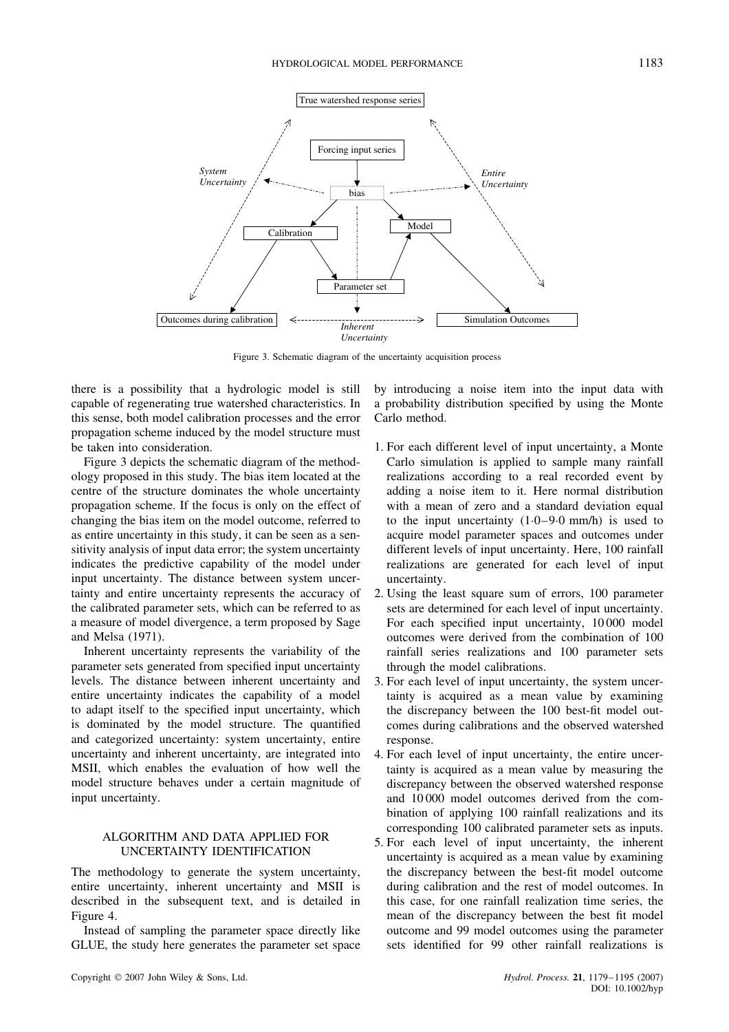

Figure 3. Schematic diagram of the uncertainty acquisition process

there is a possibility that a hydrologic model is still capable of regenerating true watershed characteristics. In this sense, both model calibration processes and the error propagation scheme induced by the model structure must be taken into consideration.

Figure 3 depicts the schematic diagram of the methodology proposed in this study. The bias item located at the centre of the structure dominates the whole uncertainty propagation scheme. If the focus is only on the effect of changing the bias item on the model outcome, referred to as entire uncertainty in this study, it can be seen as a sensitivity analysis of input data error; the system uncertainty indicates the predictive capability of the model under input uncertainty. The distance between system uncertainty and entire uncertainty represents the accuracy of the calibrated parameter sets, which can be referred to as a measure of model divergence, a term proposed by Sage and Melsa (1971).

Inherent uncertainty represents the variability of the parameter sets generated from specified input uncertainty levels. The distance between inherent uncertainty and entire uncertainty indicates the capability of a model to adapt itself to the specified input uncertainty, which is dominated by the model structure. The quantified and categorized uncertainty: system uncertainty, entire uncertainty and inherent uncertainty, are integrated into MSII, which enables the evaluation of how well the model structure behaves under a certain magnitude of input uncertainty.

# ALGORITHM AND DATA APPLIED FOR UNCERTAINTY IDENTIFICATION

The methodology to generate the system uncertainty, entire uncertainty, inherent uncertainty and MSII is described in the subsequent text, and is detailed in Figure 4.

Instead of sampling the parameter space directly like GLUE, the study here generates the parameter set space

by introducing a noise item into the input data with a probability distribution specified by using the Monte Carlo method.

- 1. For each different level of input uncertainty, a Monte Carlo simulation is applied to sample many rainfall realizations according to a real recorded event by adding a noise item to it. Here normal distribution with a mean of zero and a standard deviation equal to the input uncertainty  $(1.0-9.0 \text{ mm/h})$  is used to acquire model parameter spaces and outcomes under different levels of input uncertainty. Here, 100 rainfall realizations are generated for each level of input uncertainty.
- 2. Using the least square sum of errors, 100 parameter sets are determined for each level of input uncertainty. For each specified input uncertainty, 10 000 model outcomes were derived from the combination of 100 rainfall series realizations and 100 parameter sets through the model calibrations.
- 3. For each level of input uncertainty, the system uncertainty is acquired as a mean value by examining the discrepancy between the 100 best-fit model outcomes during calibrations and the observed watershed response.
- 4. For each level of input uncertainty, the entire uncertainty is acquired as a mean value by measuring the discrepancy between the observed watershed response and 10 000 model outcomes derived from the combination of applying 100 rainfall realizations and its corresponding 100 calibrated parameter sets as inputs.
- 5. For each level of input uncertainty, the inherent uncertainty is acquired as a mean value by examining the discrepancy between the best-fit model outcome during calibration and the rest of model outcomes. In this case, for one rainfall realization time series, the mean of the discrepancy between the best fit model outcome and 99 model outcomes using the parameter sets identified for 99 other rainfall realizations is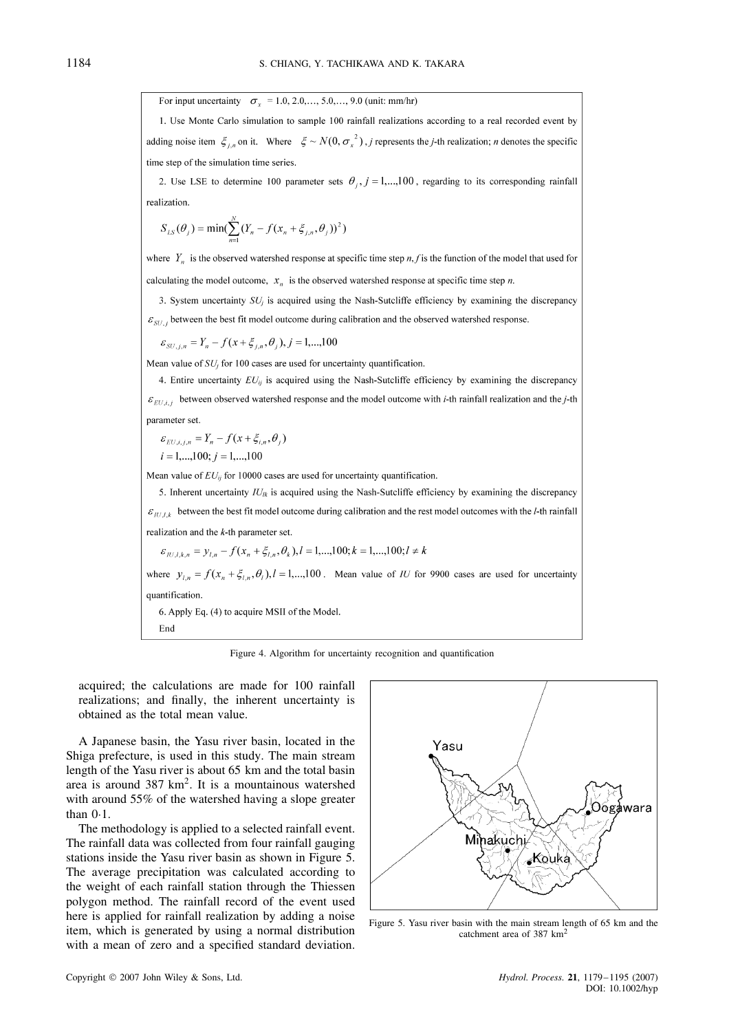For input uncertainty  $\sigma_x = 1.0, 2.0, ..., 5.0, ..., 9.0$  (unit: mm/hr)

1. Use Monte Carlo simulation to sample 100 rainfall realizations according to a real recorded event by adding noise item  $\xi_{i,n}$  on it. Where  $\xi \sim N(0, \sigma_x^2)$ , *j* represents the *j*-th realization; *n* denotes the specific time step of the simulation time series.

2. Use LSE to determine 100 parameter sets  $\theta_i$ ,  $j = 1,...,100$ , regarding to its corresponding rainfall realization.

$$
S_{LS}(\theta_j) = \min(\sum_{n=1}^{N} (Y_n - f(x_n + \xi_{j,n}, \theta_j))^2)
$$

where  $Y_n$  is the observed watershed response at specific time step n, f is the function of the model that used for calculating the model outcome,  $x_n$  is the observed watershed response at specific time step n.

3. System uncertainty  $SU_i$  is acquired using the Nash-Sutcliffe efficiency by examining the discrepancy  $\varepsilon_{\text{SIL}}$ , between the best fit model outcome during calibration and the observed watershed response.

 $\varepsilon_{\text{SU}(n)} = Y_n - f(x + \xi_{\text{U}}^T, \theta_i), j = 1, \dots, 100$ 

Mean value of  $SU<sub>i</sub>$  for 100 cases are used for uncertainty quantification.

4. Entire uncertainty  $EU_{ij}$  is acquired using the Nash-Sutcliffe efficiency by examining the discrepancy  $\varepsilon_{EUL,I}$  between observed watershed response and the model outcome with *i*-th rainfall realization and the *j*-th parameter set.

$$
\varepsilon_{\mathit{EU},i,j,n} = Y_n - f(x + \xi_{i,n}, \theta_j)
$$

$$
i = 1, \dots, 100; j = 1, \dots, 100
$$

Mean value of  $EU_{ii}$  for 10000 cases are used for uncertainty quantification.

5. Inherent uncertainty  $IU_{lk}$  is acquired using the Nash-Sutcliffe efficiency by examining the discrepancy  $\varepsilon_{\text{HJ},t,k}$  between the best fit model outcome during calibration and the rest model outcomes with the *l*-th rainfall realization and the  $k$ -th parameter set.

 $\varepsilon_{iU,l,k,n} = y_{l,n} - f(x_n + \xi_{l,n}, \theta_k), l = 1,...,100; k = 1,...,100; l \neq k$ 

where  $y_{l,n} = f(x_n + \xi_{l,n}, \theta_l)$ ,  $l = 1,...,100$ . Mean value of *IU* for 9900 cases are used for uncertainty quantification.

6. Apply Eq. (4) to acquire MSII of the Model.

End

## Figure 4. Algorithm for uncertainty recognition and quantification

acquired; the calculations are made for 100 rainfall realizations; and finally, the inherent uncertainty is obtained as the total mean value.

A Japanese basin, the Yasu river basin, located in the Shiga prefecture, is used in this study. The main stream length of the Yasu river is about 65 km and the total basin area is around  $387 \text{ km}^2$ . It is a mountainous watershed with around 55% of the watershed having a slope greater than  $0.1$ .

The methodology is applied to a selected rainfall event. The rainfall data was collected from four rainfall gauging stations inside the Yasu river basin as shown in Figure 5. The average precipitation was calculated according to the weight of each rainfall station through the Thiessen polygon method. The rainfall record of the event used here is applied for rainfall realization by adding a noise item, which is generated by using a normal distribution with a mean of zero and a specified standard deviation.



Figure 5. Yasu river basin with the main stream length of 65 km and the catchment area of 387 km<sup>2</sup>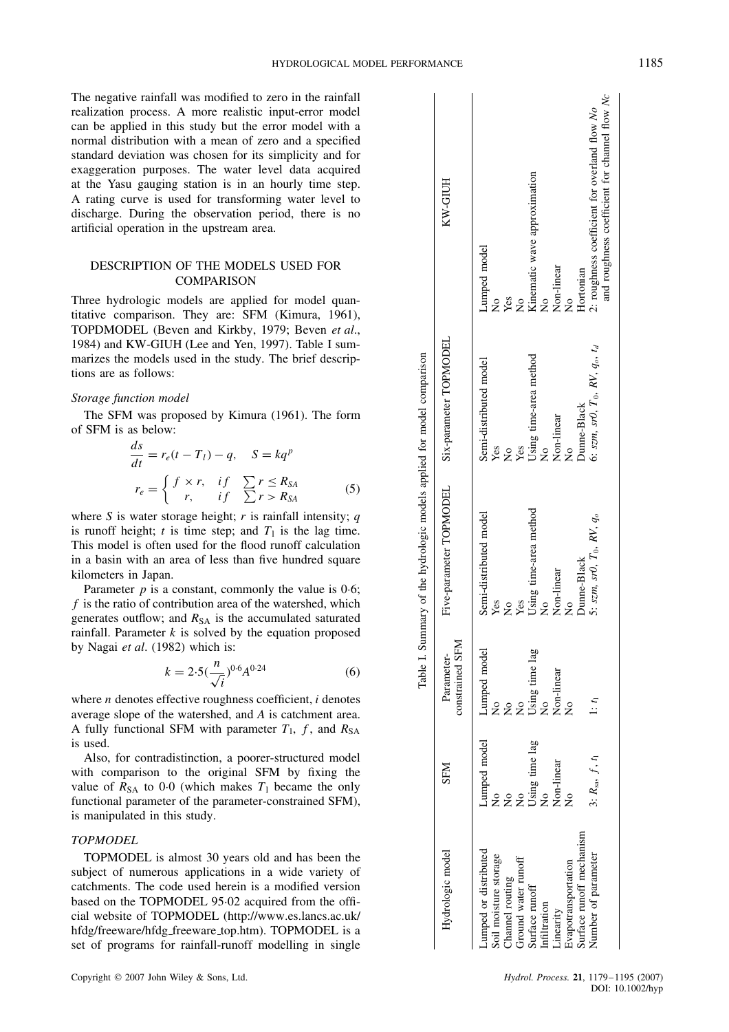The negative rainfall was modified to zero in the rainfall realization process. A more realistic input-error model can be applied in this study but the error model with a normal distribution with a mean of zero and a specified standard deviation was chosen for its simplicity and for exaggeration purposes. The water level data acquired at the Yasu gauging station is in an hourly time step. A rating curve is used for transforming water level to discharge. During the observation period, there is no artificial operation in the upstream area.

# DESCRIPTION OF THE MODELS USED FOR **COMPARISON**

Three hydrologic models are applied for model quantitative comparison. They are: SFM (Kimura, 1961), TOPDMODEL (Beven and Kirkby, 1979; Beven *et al*., 1984) and KW-GIUH (Lee and Yen, 1997). Table I summarizes the models used in the study. The brief descriptions are as follows:

## *Storage function model*

The SFM was proposed by Kimura (1961). The form of SFM is as below:

$$
\frac{ds}{dt} = r_e(t - T_l) - q, \quad S = kq^p
$$

$$
r_e = \begin{cases} f \times r, & if \sum r \le R_{SA} \\ r, & if \sum r > R_{SA} \end{cases}
$$
(5)

where S is water storage height;  $r$  is rainfall intensity;  $q$ is runoff height; t is time step; and  $T_1$  is the lag time. This model is often used for the flood runoff calculation in a basin with an area of less than five hundred square kilometers in Japan.

Parameter  $p$  is a constant, commonly the value is 0.6;  $f$  is the ratio of contribution area of the watershed, which generates outflow; and  $R_{SA}$  is the accumulated saturated rainfall. Parameter  $k$  is solved by the equation proposed by Nagai *et al*. (1982) which is:

$$
k = 2.5 \left(\frac{n}{\sqrt{i}}\right)^{0.6} A^{0.24} \tag{6}
$$

where  $n$  denotes effective roughness coefficient,  $i$  denotes average slope of the watershed, and A is catchment area. A fully functional SFM with parameter  $T_1$ , f, and  $R_{SA}$ is used.

Also, for contradistinction, a poorer-structured model with comparison to the original SFM by fixing the value of  $R_{SA}$  to 0.0 (which makes  $T_1$  became the only functional parameter of the parameter-constrained SFM), is manipulated in this study.

## *TOPMODEL*

TOPMODEL is almost 30 years old and has been the subject of numerous applications in a wide variety of catchments. The code used herein is a modified version based on the TOPMODEL 95 $\cdot$ 02 acquired from the official website of TOPMODEL (http://www.es.lancs.ac.uk/ hfdg/freeware/hfdg freeware top.htm). TOPMODEL is a set of programs for rainfall-runoff modelling in single

|                          |                                   |                               | Table I. Summary of the hydrologic models applied for model comparison |                                                 |                                                                                                |
|--------------------------|-----------------------------------|-------------------------------|------------------------------------------------------------------------|-------------------------------------------------|------------------------------------------------------------------------------------------------|
| Hydrologic model         | <b>NHS</b>                        | constrained SFM<br>Parameter- | Five-parameter TOPMODEL                                                | Six-parameter TOPMODEL                          | KW-GIUH                                                                                        |
| umped or distributed     | Lumped model                      | Lumped model                  | Semi-distributed model                                                 | Semi-distributed model                          | Lumped model                                                                                   |
| Soil moisture storage    |                                   |                               | Yes                                                                    | Yes                                             |                                                                                                |
| Channel routing          |                                   |                               |                                                                        | $\frac{1}{2}$                                   | Yes                                                                                            |
| Ground water runoff      | $\frac{1}{2}$                     | λo                            | Yes                                                                    | Yes                                             | $\frac{1}{2}$                                                                                  |
| Surface runoff           | Using time lag $\overline{N_0}$   | Using time lag                | Using time-area method                                                 | Using time-area method                          | Kinematic wave approximation                                                                   |
| Infiltration             |                                   | 2<br>S                        |                                                                        | ğ,                                              | ş                                                                                              |
| inearity                 | Non-linear                        | Non-linear                    | Non-linear                                                             | Non-linear                                      | Non-linear                                                                                     |
| vapotransportation       | ż                                 | ż                             |                                                                        | $\frac{1}{2}$                                   | $\frac{1}{2}$                                                                                  |
| surface runoff mechanism |                                   |                               | Dunne-Black                                                            | Dunne-Black                                     | Hortonian                                                                                      |
| Number of parameter      | 3: $R_{\rm sa},\, f,\, t_{\rm l}$ | $\mathbf{r}$                  | 5: szm, sr0, $T_0$ , RV, $q_o$                                         | 6: $szm$ , $srO$ , $T_0$ , $RV$ , $q_o$ , $t_d$ | and roughness coefficient for channel flow Nc<br>2: roughness coefficient for overland flow No |
|                          |                                   |                               |                                                                        |                                                 |                                                                                                |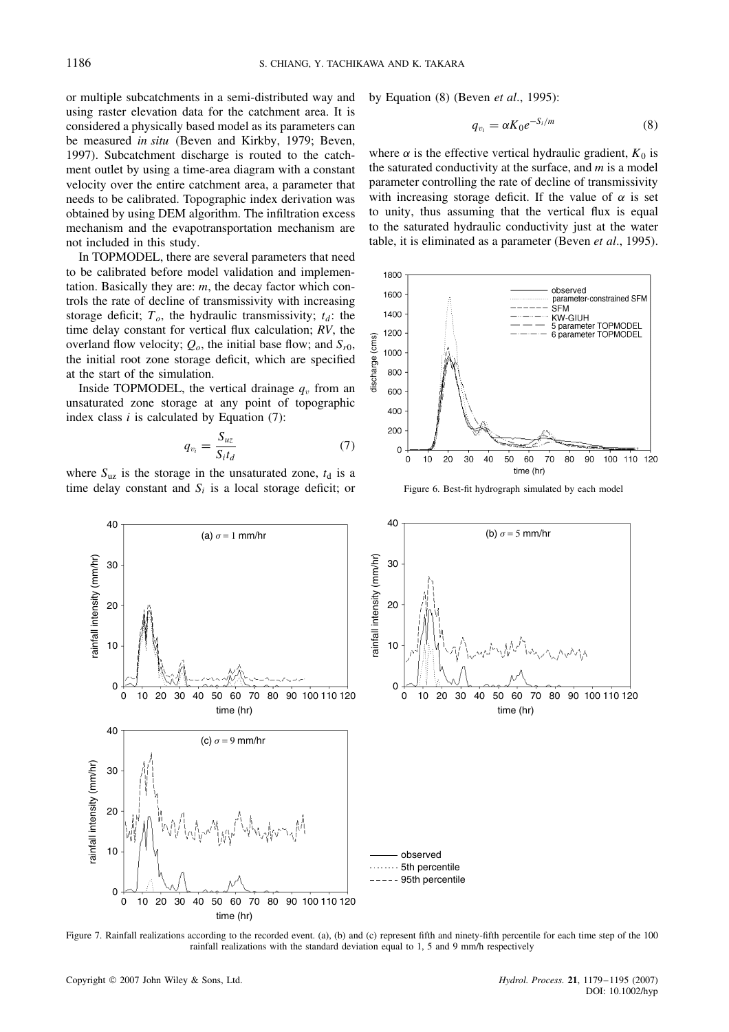or multiple subcatchments in a semi-distributed way and using raster elevation data for the catchment area. It is considered a physically based model as its parameters can be measured *in situ* (Beven and Kirkby, 1979; Beven, 1997). Subcatchment discharge is routed to the catchment outlet by using a time-area diagram with a constant velocity over the entire catchment area, a parameter that needs to be calibrated. Topographic index derivation was obtained by using DEM algorithm. The infiltration excess mechanism and the evapotransportation mechanism are not included in this study.

In TOPMODEL, there are several parameters that need to be calibrated before model validation and implementation. Basically they are:  $m$ , the decay factor which controls the rate of decline of transmissivity with increasing storage deficit;  $T<sub>o</sub>$ , the hydraulic transmissivity;  $t<sub>d</sub>$ : the time delay constant for vertical flux calculation; *RV*, the overland flow velocity;  $Q_o$ , the initial base flow; and  $S_{r0}$ , the initial root zone storage deficit, which are specified at the start of the simulation.

Inside TOPMODEL, the vertical drainage  $q_v$  from an unsaturated zone storage at any point of topographic index class  $i$  is calculated by Equation  $(7)$ :

$$
q_{v_i} = \frac{S_{uz}}{S_i t_d} \tag{7}
$$

where  $S_{uz}$  is the storage in the unsaturated zone,  $t_d$  is a time delay constant and  $S_i$  is a local storage deficit; or by Equation (8) (Beven *et al*., 1995):

$$
q_{v_i} = \alpha K_0 e^{-S_i/m} \tag{8}
$$

where  $\alpha$  is the effective vertical hydraulic gradient,  $K_0$  is the saturated conductivity at the surface, and  $m$  is a model parameter controlling the rate of decline of transmissivity with increasing storage deficit. If the value of  $\alpha$  is set to unity, thus assuming that the vertical flux is equal to the saturated hydraulic conductivity just at the water table, it is eliminated as a parameter (Beven *et al*., 1995).



Figure 6. Best-fit hydrograph simulated by each model



Figure 7. Rainfall realizations according to the recorded event. (a), (b) and (c) represent fifth and ninety-fifth percentile for each time step of the 100 rainfall realizations with the standard deviation equal to 1, 5 and 9 mm/h respectively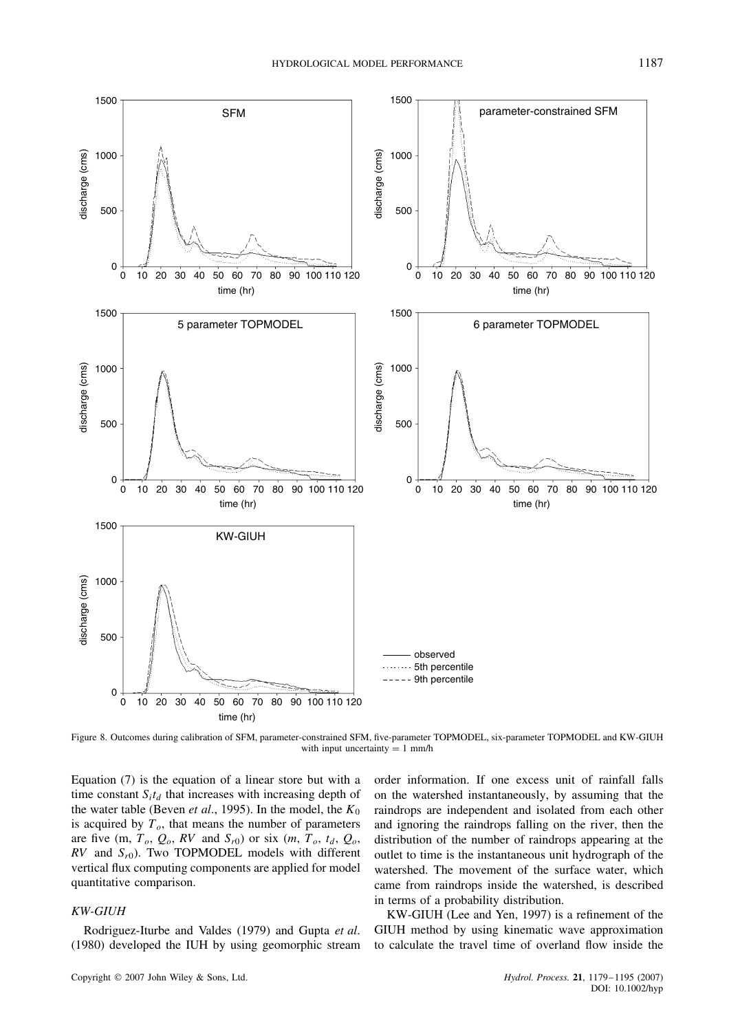



with input uncertainty  $= 1$  mm/h

Equation (7) is the equation of a linear store but with a time constant  $S_i t_d$  that increases with increasing depth of the water table (Beven *et al.*, 1995). In the model, the  $K_0$ is acquired by  $T<sub>o</sub>$ , that means the number of parameters are five (m,  $T_o$ ,  $Q_o$ ,  $RV$  and  $S_{r0}$ ) or six (m,  $T_o$ ,  $t_d$ ,  $Q_o$ ,  $RV$  and  $S_{r0}$ ). Two TOPMODEL models with different vertical flux computing components are applied for model quantitative comparison.

#### *KW-GIUH*

1500

1000

Rodriguez-Iturbe and Valdes (1979) and Gupta *et al*. (1980) developed the IUH by using geomorphic stream order information. If one excess unit of rainfall falls on the watershed instantaneously, by assuming that the raindrops are independent and isolated from each other and ignoring the raindrops falling on the river, then the distribution of the number of raindrops appearing at the outlet to time is the instantaneous unit hydrograph of the watershed. The movement of the surface water, which came from raindrops inside the watershed, is described in terms of a probability distribution.

KW-GIUH (Lee and Yen, 1997) is a refinement of the GIUH method by using kinematic wave approximation to calculate the travel time of overland flow inside the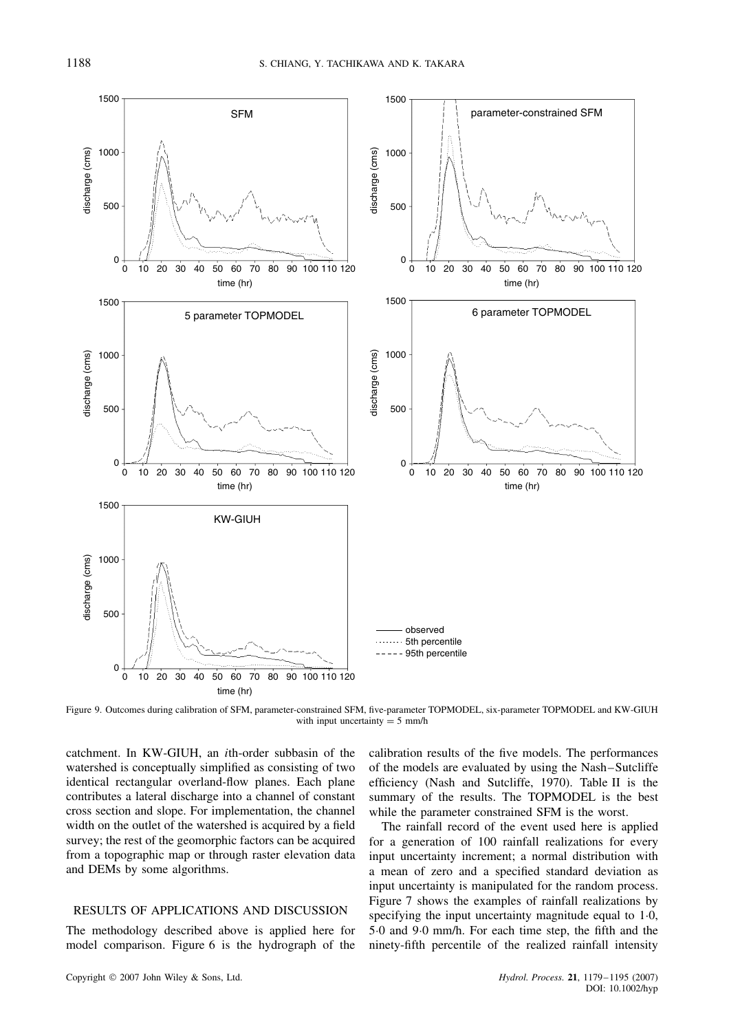

Figure 9. Outcomes during calibration of SFM, parameter-constrained SFM, five-parameter TOPMODEL, six-parameter TOPMODEL and KW-GIUH with input uncertainty  $=$  5 mm/h

catchment. In KW-GIUH, an ith-order subbasin of the watershed is conceptually simplified as consisting of two identical rectangular overland-flow planes. Each plane contributes a lateral discharge into a channel of constant cross section and slope. For implementation, the channel width on the outlet of the watershed is acquired by a field survey; the rest of the geomorphic factors can be acquired from a topographic map or through raster elevation data and DEMs by some algorithms.

# RESULTS OF APPLICATIONS AND DISCUSSION

The methodology described above is applied here for model comparison. Figure 6 is the hydrograph of the

calibration results of the five models. The performances of the models are evaluated by using the Nash–Sutcliffe efficiency (Nash and Sutcliffe, 1970). Table II is the summary of the results. The TOPMODEL is the best while the parameter constrained SFM is the worst.

The rainfall record of the event used here is applied for a generation of 100 rainfall realizations for every input uncertainty increment; a normal distribution with a mean of zero and a specified standard deviation as input uncertainty is manipulated for the random process. Figure 7 shows the examples of rainfall realizations by specifying the input uncertainty magnitude equal to  $1.0$ , 5 $-0$  and  $9.0$  mm/h. For each time step, the fifth and the ninety-fifth percentile of the realized rainfall intensity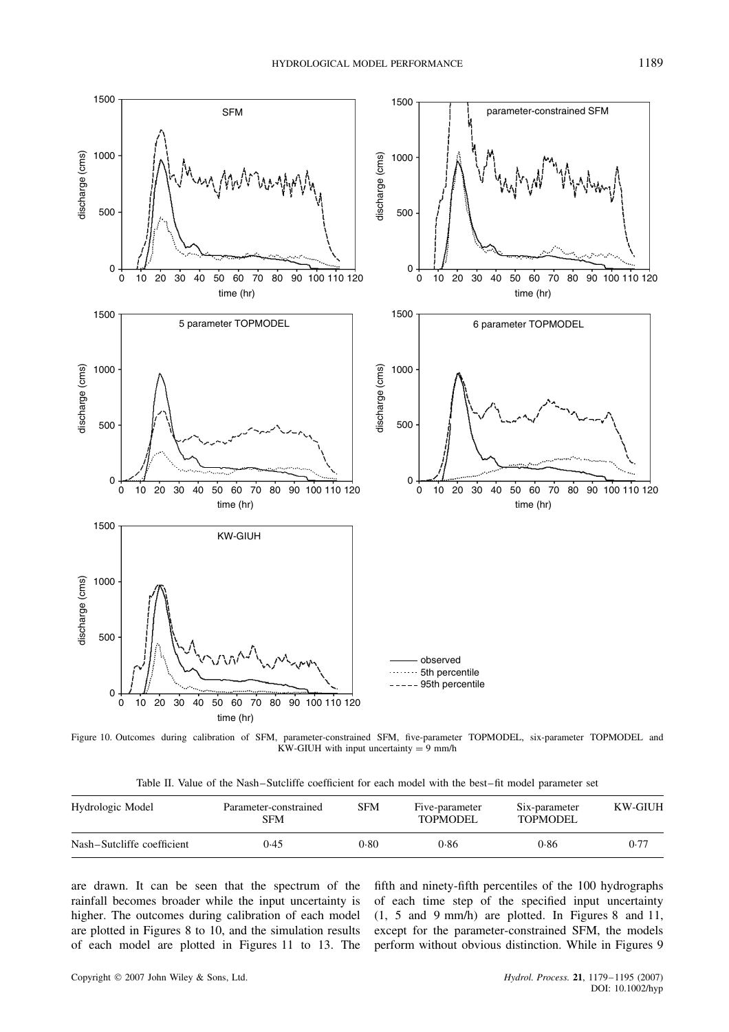

Figure 10. Outcomes during calibration of SFM, parameter-constrained SFM, five-parameter TOPMODEL, six-parameter TOPMODEL and KW-GIUH with input uncertainty  $= 9$  mm/h

|  | Table II. Value of the Nash–Sutcliffe coefficient for each model with the best–fit model parameter set |  |  |  |  |  |  |  |  |  |  |  |
|--|--------------------------------------------------------------------------------------------------------|--|--|--|--|--|--|--|--|--|--|--|
|--|--------------------------------------------------------------------------------------------------------|--|--|--|--|--|--|--|--|--|--|--|

| Hydrologic Model           | Parameter-constrained<br><b>SFM</b> | SFM  | Five-parameter<br><b>TOPMODEL</b> | Six-parameter<br><b>TOPMODEL</b> | <b>KW-GIUH</b> |  |
|----------------------------|-------------------------------------|------|-----------------------------------|----------------------------------|----------------|--|
| Nash-Sutcliffe coefficient | 0.45                                | 0.80 | 0.86                              | 0.86                             | 0.77           |  |

are drawn. It can be seen that the spectrum of the rainfall becomes broader while the input uncertainty is higher. The outcomes during calibration of each model are plotted in Figures 8 to 10, and the simulation results of each model are plotted in Figures 11 to 13. The

fifth and ninety-fifth percentiles of the 100 hydrographs of each time step of the specified input uncertainty (1, 5 and 9 mm/h) are plotted. In Figures 8 and 11, except for the parameter-constrained SFM, the models perform without obvious distinction. While in Figures 9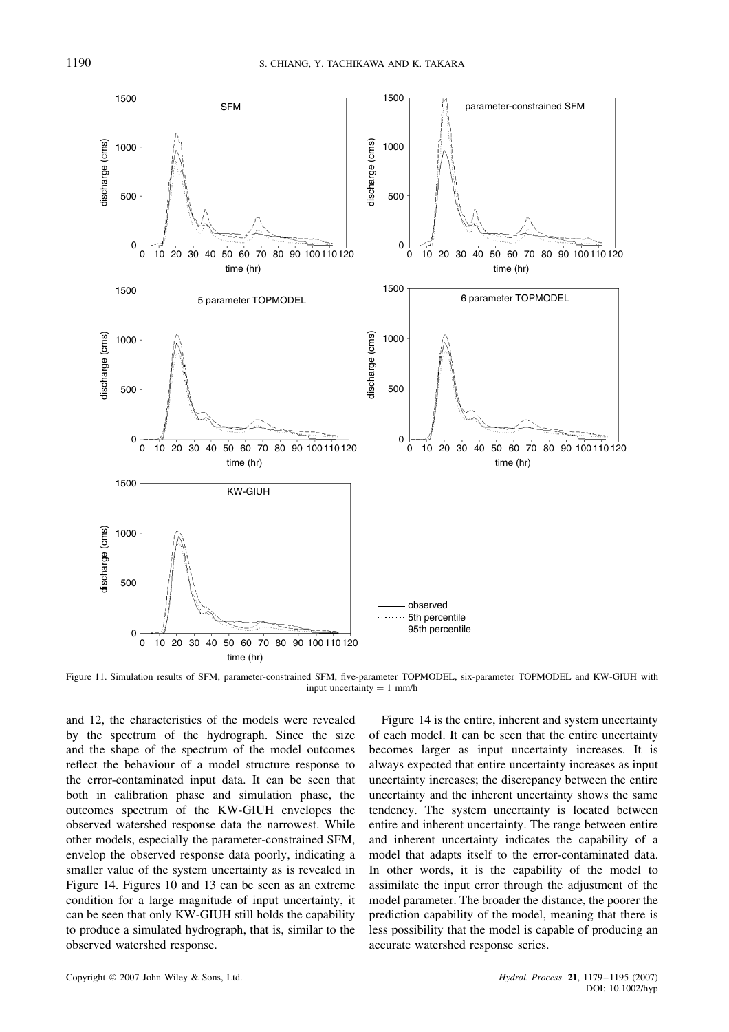

Figure 11. Simulation results of SFM, parameter-constrained SFM, five-parameter TOPMODEL, six-parameter TOPMODEL and KW-GIUH with input uncertainty  $= 1$  mm/h

and 12, the characteristics of the models were revealed by the spectrum of the hydrograph. Since the size and the shape of the spectrum of the model outcomes reflect the behaviour of a model structure response to the error-contaminated input data. It can be seen that both in calibration phase and simulation phase, the outcomes spectrum of the KW-GIUH envelopes the observed watershed response data the narrowest. While other models, especially the parameter-constrained SFM, envelop the observed response data poorly, indicating a smaller value of the system uncertainty as is revealed in Figure 14. Figures 10 and 13 can be seen as an extreme condition for a large magnitude of input uncertainty, it can be seen that only KW-GIUH still holds the capability to produce a simulated hydrograph, that is, similar to the observed watershed response.

Figure 14 is the entire, inherent and system uncertainty of each model. It can be seen that the entire uncertainty becomes larger as input uncertainty increases. It is always expected that entire uncertainty increases as input uncertainty increases; the discrepancy between the entire uncertainty and the inherent uncertainty shows the same tendency. The system uncertainty is located between entire and inherent uncertainty. The range between entire and inherent uncertainty indicates the capability of a model that adapts itself to the error-contaminated data. In other words, it is the capability of the model to assimilate the input error through the adjustment of the model parameter. The broader the distance, the poorer the prediction capability of the model, meaning that there is less possibility that the model is capable of producing an accurate watershed response series.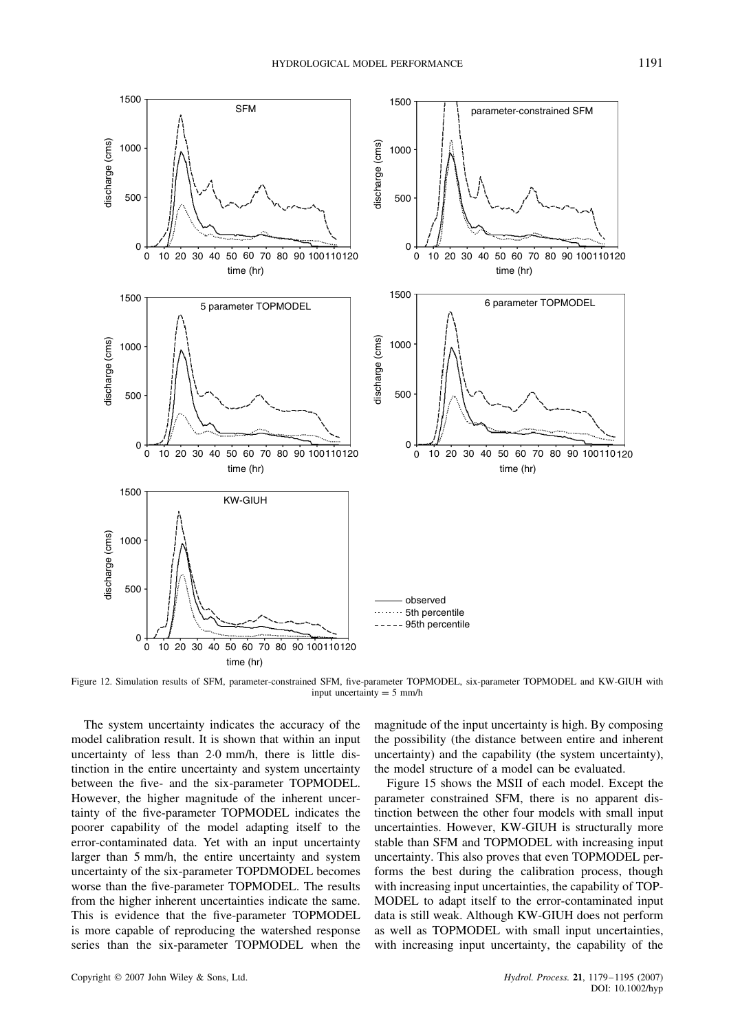

Figure 12. Simulation results of SFM, parameter-constrained SFM, five-parameter TOPMODEL, six-parameter TOPMODEL and KW-GIUH with input uncertainty  $= 5$  mm/h

The system uncertainty indicates the accuracy of the model calibration result. It is shown that within an input uncertainty of less than 2.0 mm/h, there is little distinction in the entire uncertainty and system uncertainty between the five- and the six-parameter TOPMODEL. However, the higher magnitude of the inherent uncertainty of the five-parameter TOPMODEL indicates the poorer capability of the model adapting itself to the error-contaminated data. Yet with an input uncertainty larger than 5 mm/h, the entire uncertainty and system uncertainty of the six-parameter TOPDMODEL becomes worse than the five-parameter TOPMODEL. The results from the higher inherent uncertainties indicate the same. This is evidence that the five-parameter TOPMODEL is more capable of reproducing the watershed response series than the six-parameter TOPMODEL when the magnitude of the input uncertainty is high. By composing the possibility (the distance between entire and inherent uncertainty) and the capability (the system uncertainty), the model structure of a model can be evaluated.

Figure 15 shows the MSII of each model. Except the parameter constrained SFM, there is no apparent distinction between the other four models with small input uncertainties. However, KW-GIUH is structurally more stable than SFM and TOPMODEL with increasing input uncertainty. This also proves that even TOPMODEL performs the best during the calibration process, though with increasing input uncertainties, the capability of TOP-MODEL to adapt itself to the error-contaminated input data is still weak. Although KW-GIUH does not perform as well as TOPMODEL with small input uncertainties, with increasing input uncertainty, the capability of the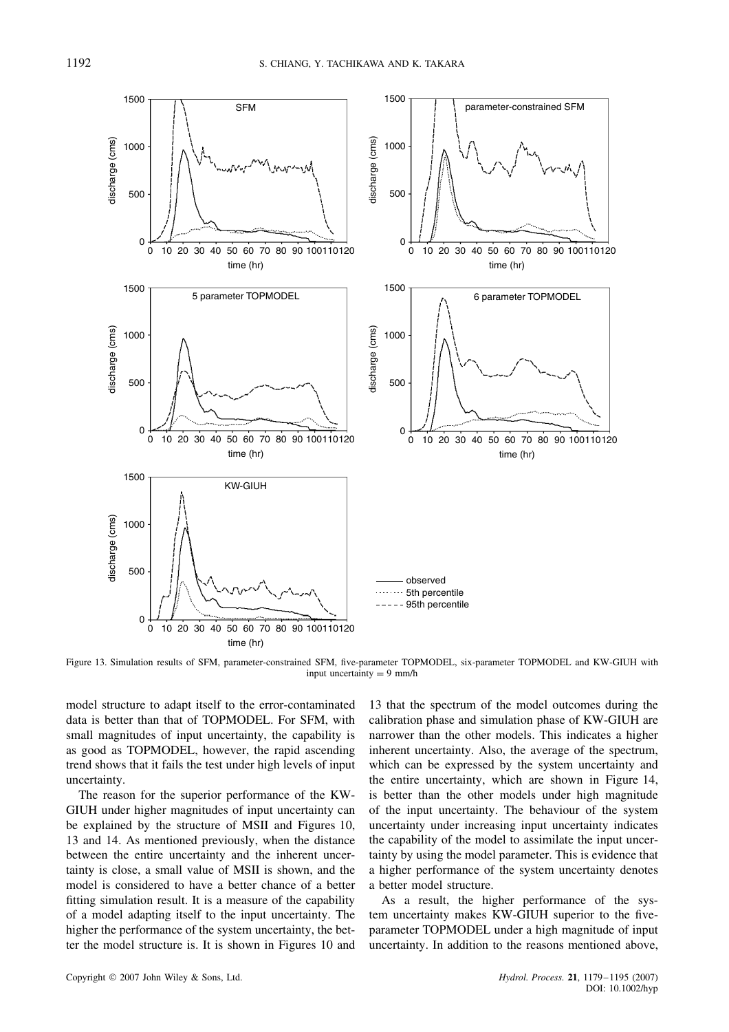

Figure 13. Simulation results of SFM, parameter-constrained SFM, five-parameter TOPMODEL, six-parameter TOPMODEL and KW-GIUH with input uncertainty  $= 9$  mm/h

model structure to adapt itself to the error-contaminated data is better than that of TOPMODEL. For SFM, with small magnitudes of input uncertainty, the capability is as good as TOPMODEL, however, the rapid ascending trend shows that it fails the test under high levels of input uncertainty.

The reason for the superior performance of the KW-GIUH under higher magnitudes of input uncertainty can be explained by the structure of MSII and Figures 10, 13 and 14. As mentioned previously, when the distance between the entire uncertainty and the inherent uncertainty is close, a small value of MSII is shown, and the model is considered to have a better chance of a better fitting simulation result. It is a measure of the capability of a model adapting itself to the input uncertainty. The higher the performance of the system uncertainty, the better the model structure is. It is shown in Figures 10 and

13 that the spectrum of the model outcomes during the calibration phase and simulation phase of KW-GIUH are narrower than the other models. This indicates a higher inherent uncertainty. Also, the average of the spectrum, which can be expressed by the system uncertainty and the entire uncertainty, which are shown in Figure 14, is better than the other models under high magnitude of the input uncertainty. The behaviour of the system uncertainty under increasing input uncertainty indicates the capability of the model to assimilate the input uncertainty by using the model parameter. This is evidence that a higher performance of the system uncertainty denotes a better model structure.

As a result, the higher performance of the system uncertainty makes KW-GIUH superior to the fiveparameter TOPMODEL under a high magnitude of input uncertainty. In addition to the reasons mentioned above,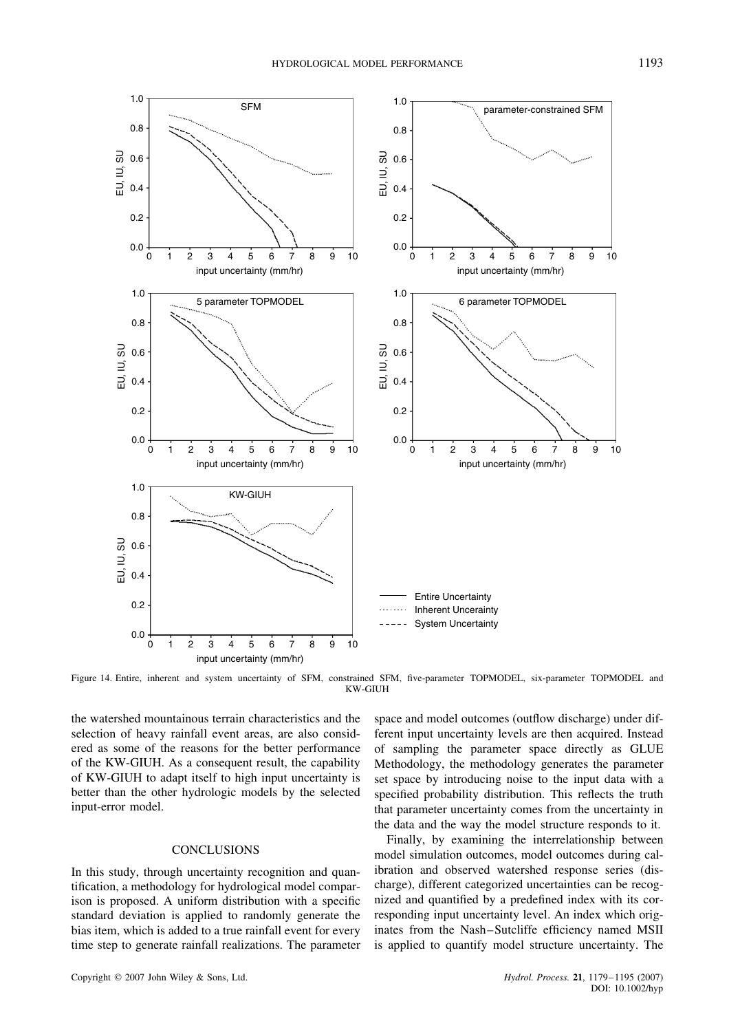

Figure 14. Entire, inherent and system uncertainty of SFM, constrained SFM, five-parameter TOPMODEL, six-parameter TOPMODEL and KW-GIUH

the watershed mountainous terrain characteristics and the selection of heavy rainfall event areas, are also considered as some of the reasons for the better performance of the KW-GIUH. As a consequent result, the capability of KW-GIUH to adapt itself to high input uncertainty is better than the other hydrologic models by the selected input-error model.

# **CONCLUSIONS**

In this study, through uncertainty recognition and quantification, a methodology for hydrological model comparison is proposed. A uniform distribution with a specific standard deviation is applied to randomly generate the bias item, which is added to a true rainfall event for every time step to generate rainfall realizations. The parameter space and model outcomes (outflow discharge) under different input uncertainty levels are then acquired. Instead of sampling the parameter space directly as GLUE Methodology, the methodology generates the parameter set space by introducing noise to the input data with a specified probability distribution. This reflects the truth that parameter uncertainty comes from the uncertainty in the data and the way the model structure responds to it.

Finally, by examining the interrelationship between model simulation outcomes, model outcomes during calibration and observed watershed response series (discharge), different categorized uncertainties can be recognized and quantified by a predefined index with its corresponding input uncertainty level. An index which originates from the Nash–Sutcliffe efficiency named MSII is applied to quantify model structure uncertainty. The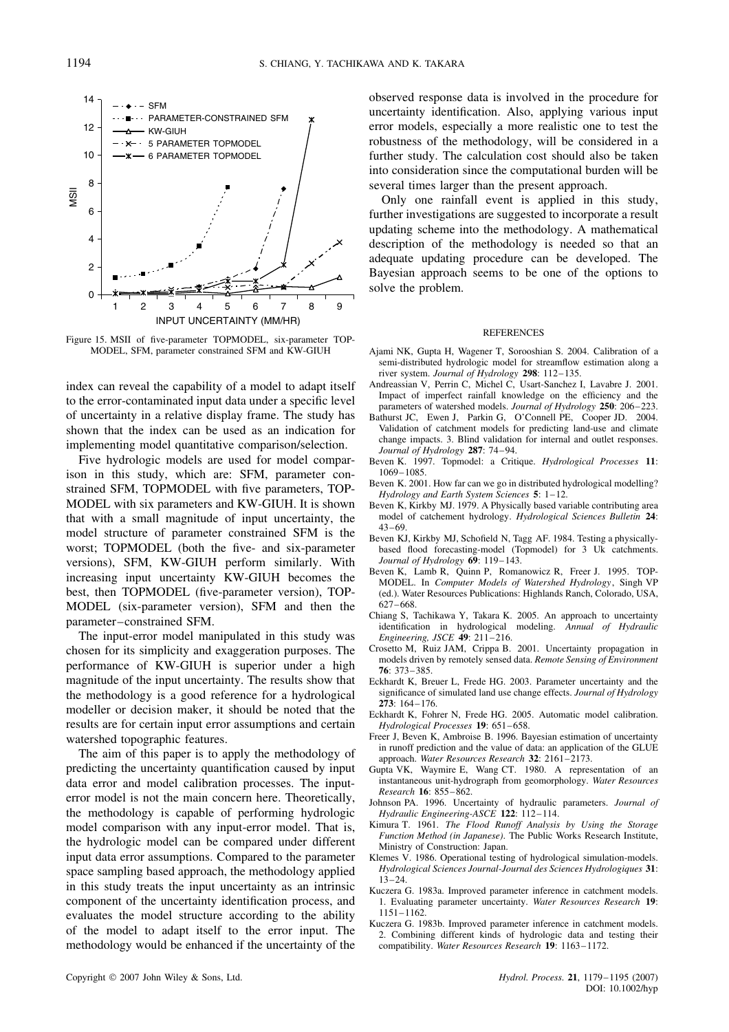

Figure 15. MSII of five-parameter TOPMODEL, six-parameter TOP-MODEL, SFM, parameter constrained SFM and KW-GIUH

index can reveal the capability of a model to adapt itself to the error-contaminated input data under a specific level of uncertainty in a relative display frame. The study has shown that the index can be used as an indication for implementing model quantitative comparison/selection.

Five hydrologic models are used for model comparison in this study, which are: SFM, parameter constrained SFM, TOPMODEL with five parameters, TOP-MODEL with six parameters and KW-GIUH. It is shown that with a small magnitude of input uncertainty, the model structure of parameter constrained SFM is the worst; TOPMODEL (both the five- and six-parameter versions), SFM, KW-GIUH perform similarly. With increasing input uncertainty KW-GIUH becomes the best, then TOPMODEL (five-parameter version), TOP-MODEL (six-parameter version), SFM and then the parameter–constrained SFM.

The input-error model manipulated in this study was chosen for its simplicity and exaggeration purposes. The performance of KW-GIUH is superior under a high magnitude of the input uncertainty. The results show that the methodology is a good reference for a hydrological modeller or decision maker, it should be noted that the results are for certain input error assumptions and certain watershed topographic features.

The aim of this paper is to apply the methodology of predicting the uncertainty quantification caused by input data error and model calibration processes. The inputerror model is not the main concern here. Theoretically, the methodology is capable of performing hydrologic model comparison with any input-error model. That is, the hydrologic model can be compared under different input data error assumptions. Compared to the parameter space sampling based approach, the methodology applied in this study treats the input uncertainty as an intrinsic component of the uncertainty identification process, and evaluates the model structure according to the ability of the model to adapt itself to the error input. The methodology would be enhanced if the uncertainty of the

observed response data is involved in the procedure for uncertainty identification. Also, applying various input error models, especially a more realistic one to test the robustness of the methodology, will be considered in a further study. The calculation cost should also be taken into consideration since the computational burden will be several times larger than the present approach.

Only one rainfall event is applied in this study, further investigations are suggested to incorporate a result updating scheme into the methodology. A mathematical description of the methodology is needed so that an adequate updating procedure can be developed. The Bayesian approach seems to be one of the options to solve the problem.

#### **REFERENCES**

- Ajami NK, Gupta H, Wagener T, Sorooshian S. 2004. Calibration of a semi-distributed hydrologic model for streamflow estimation along a river system. *Journal of Hydrology* **298**: 112–135.
- Andreassian V, Perrin C, Michel C, Usart-Sanchez I, Lavabre J. 2001. Impact of imperfect rainfall knowledge on the efficiency and the parameters of watershed models. *Journal of Hydrology* **250**: 206–223.
- Bathurst JC, Ewen J, Parkin G, O'Connell PE, Cooper JD. 2004. Validation of catchment models for predicting land-use and climate change impacts. 3. Blind validation for internal and outlet responses. *Journal of Hydrology* **287**: 74–94.
- Beven K. 1997. Topmodel: a Critique. *Hydrological Processes* **11**: 1069–1085.
- Beven K. 2001. How far can we go in distributed hydrological modelling? *Hydrology and Earth System Sciences* **5**: 1–12.
- Beven K, Kirkby MJ. 1979. A Physically based variable contributing area model of catchement hydrology. *Hydrological Sciences Bulletin* **24**: 43–69.
- Beven KJ, Kirkby MJ, Schofield N, Tagg AF. 1984. Testing a physicallybased flood forecasting-model (Topmodel) for 3 Uk catchments. *Journal of Hydrology* **69**: 119–143.
- Beven K, Lamb R, Quinn P, Romanowicz R, Freer J. 1995. TOP-MODEL. In *Computer Models of Watershed Hydrology*, Singh VP (ed.). Water Resources Publications: Highlands Ranch, Colorado, USA, 627–668.
- Chiang S, Tachikawa Y, Takara K. 2005. An approach to uncertainty identification in hydrological modeling. *Annual of Hydraulic Engineering, JSCE* **49**: 211–216.
- Crosetto M, Ruiz JAM, Crippa B. 2001. Uncertainty propagation in models driven by remotely sensed data. *Remote Sensing of Environment* **76**: 373–385.
- Eckhardt K, Breuer L, Frede HG. 2003. Parameter uncertainty and the significance of simulated land use change effects. *Journal of Hydrology* **273**: 164–176.
- Eckhardt K, Fohrer N, Frede HG. 2005. Automatic model calibration. *Hydrological Processes* **19**: 651–658.
- Freer J, Beven K, Ambroise B. 1996. Bayesian estimation of uncertainty in runoff prediction and the value of data: an application of the GLUE approach. *Water Resources Research* **32**: 2161–2173.
- Gupta VK, Waymire E, Wang CT. 1980. A representation of an instantaneous unit-hydrograph from geomorphology. *Water Resources Research* **16**: 855–862.
- Johnson PA. 1996. Uncertainty of hydraulic parameters. *Journal of Hydraulic Engineering-ASCE* **122**: 112–114.
- Kimura T. 1961. *The Flood Runoff Analysis by Using the Storage Function Method (in Japanese)*. The Public Works Research Institute, Ministry of Construction: Japan.
- Klemes V. 1986. Operational testing of hydrological simulation-models. *Hydrological Sciences Journal-Journal des Sciences Hydrologiques* **31**: 13–24.
- Kuczera G. 1983a. Improved parameter inference in catchment models. 1. Evaluating parameter uncertainty. *Water Resources Research* **19**: 1151–1162.
- Kuczera G. 1983b. Improved parameter inference in catchment models. 2. Combining different kinds of hydrologic data and testing their compatibility. *Water Resources Research* **19**: 1163–1172.